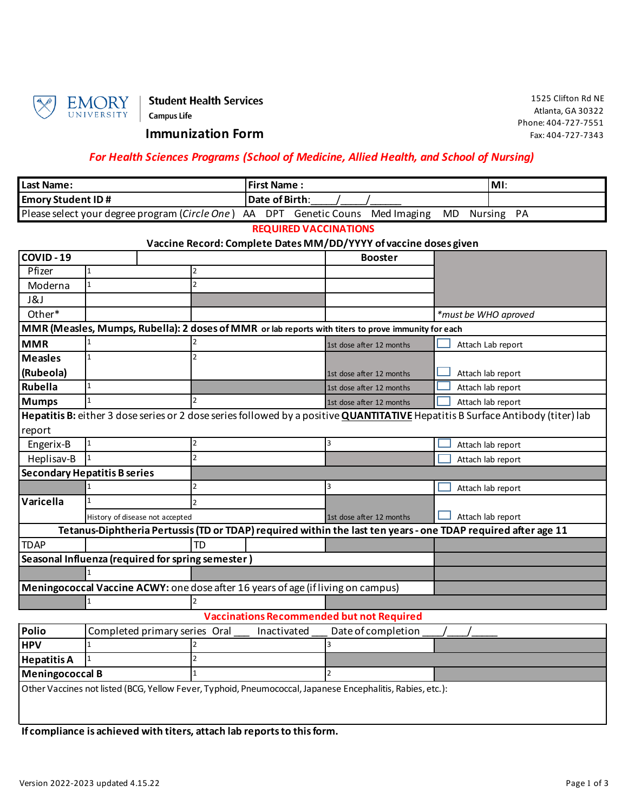

### **Immunization Form**

### *For Health Sciences Programs (School of Medicine, Allied Health, and School of Nursing)*

| <b>Last Name:</b>                                                               | <b>IFirst Name:</b> |  |  | IMI.          |  |
|---------------------------------------------------------------------------------|---------------------|--|--|---------------|--|
| <b>Emory Student ID #</b>                                                       | Date of Birth:      |  |  |               |  |
| Please select your degree program (Circle One) AA DPT Genetic Couns Med Imaging |                     |  |  | MD Nursing PA |  |

**REQUIRED VACCINATIONS**

## **Vaccine Record: Complete Dates MM/DD/YYYY of vaccine doses given**

| COVID-19               |                                                   |                                                                                                               | <b>Booster</b>           |                                                                                                                                        |
|------------------------|---------------------------------------------------|---------------------------------------------------------------------------------------------------------------|--------------------------|----------------------------------------------------------------------------------------------------------------------------------------|
| Pfizer                 |                                                   | 2                                                                                                             |                          |                                                                                                                                        |
| Moderna                | $\mathbf{1}$                                      | $\mathcal{P}$                                                                                                 |                          |                                                                                                                                        |
| J&J                    |                                                   |                                                                                                               |                          |                                                                                                                                        |
| Other*                 |                                                   |                                                                                                               |                          | *must be WHO aproved                                                                                                                   |
|                        |                                                   | MMR (Measles, Mumps, Rubella): 2 doses of MMR or lab reports with titers to prove immunity for each           |                          |                                                                                                                                        |
| <b>MMR</b>             |                                                   |                                                                                                               | 1st dose after 12 months | Attach Lab report                                                                                                                      |
| <b>Measles</b>         |                                                   |                                                                                                               |                          |                                                                                                                                        |
| (Rubeola)              |                                                   |                                                                                                               | 1st dose after 12 months | Attach lab report                                                                                                                      |
| Rubella                | $\mathbf{1}$                                      |                                                                                                               | 1st dose after 12 months | Attach lab report                                                                                                                      |
| <b>Mumps</b>           |                                                   | $\mathcal{P}$                                                                                                 | 1st dose after 12 months | Attach lab report                                                                                                                      |
|                        |                                                   |                                                                                                               |                          | Hepatitis B: either 3 dose series or 2 dose series followed by a positive <b>QUANTITATIVE</b> Hepatitis B Surface Antibody (titer) lab |
| report                 |                                                   |                                                                                                               |                          |                                                                                                                                        |
| Engerix-B              | $\mathbf{1}$                                      | $\overline{2}$                                                                                                | 3                        | Attach lab report                                                                                                                      |
| Heplisav-B             |                                                   | $\mathfrak{p}$                                                                                                |                          | Attach lab report                                                                                                                      |
|                        | <b>Secondary Hepatitis B series</b>               |                                                                                                               |                          |                                                                                                                                        |
|                        |                                                   |                                                                                                               | 3                        | Attach lab report                                                                                                                      |
| Varicella              | 1                                                 | $\overline{2}$                                                                                                |                          |                                                                                                                                        |
|                        | History of disease not accepted                   |                                                                                                               | 1st dose after 12 months | Attach lab report                                                                                                                      |
|                        |                                                   | Tetanus-Diphtheria Pertussis (TD or TDAP) required within the last ten years - one TDAP required after age 11 |                          |                                                                                                                                        |
| <b>TDAP</b>            |                                                   | <b>TD</b>                                                                                                     |                          |                                                                                                                                        |
|                        | Seasonal Influenza (required for spring semester) |                                                                                                               |                          |                                                                                                                                        |
|                        |                                                   |                                                                                                               |                          |                                                                                                                                        |
|                        |                                                   | Meningococcal Vaccine ACWY: one dose after 16 years of age (if living on campus)                              |                          |                                                                                                                                        |
|                        |                                                   |                                                                                                               |                          |                                                                                                                                        |
|                        |                                                   | <b>Vaccinations Recommended but not Required</b>                                                              |                          |                                                                                                                                        |
| Polio                  | Completed primary series Oral                     | Inactivated                                                                                                   | Date of completion       |                                                                                                                                        |
| <b>HPV</b>             |                                                   |                                                                                                               | 3                        |                                                                                                                                        |
| <b>Hepatitis A</b>     |                                                   |                                                                                                               |                          |                                                                                                                                        |
| <b>Meningococcal B</b> |                                                   |                                                                                                               |                          |                                                                                                                                        |
|                        |                                                   | Other Vaccines not listed (BCG, Yellow Fever, Typhoid, Pneumococcal, Japanese Encephalitis, Rabies, etc.):    |                          |                                                                                                                                        |

**If compliance is achieved with titers, attach lab reports to this form.**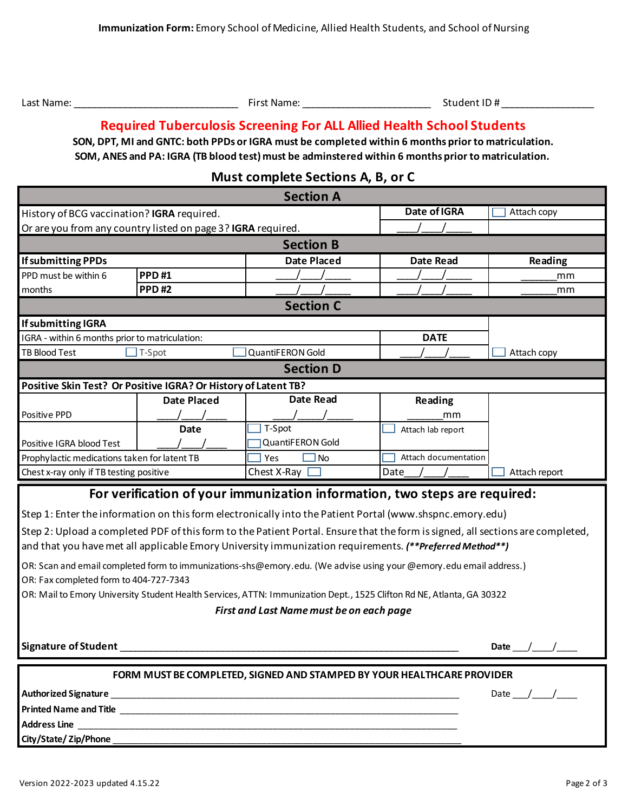| Last Name: | First Name: | Student ID# |
|------------|-------------|-------------|
|            |             |             |

# **Required Tuberculosis Screening For ALL Allied Health School Students**

**SOM, ANES and PA: IGRA (TB blood test) must be adminstered within 6 months prior to matriculation. SON, DPT, MI and GNTC: both PPDs or IGRA must be completed within 6 months prior to matriculation.**

# **Must complete Sections A, B, or C**

| <b>Section A</b>                                                                                                                                                                                                                                                   |                    |                                                                                                          |                      |               |  |
|--------------------------------------------------------------------------------------------------------------------------------------------------------------------------------------------------------------------------------------------------------------------|--------------------|----------------------------------------------------------------------------------------------------------|----------------------|---------------|--|
| History of BCG vaccination? IGRA required.                                                                                                                                                                                                                         |                    |                                                                                                          | Date of IGRA         | Attach copy   |  |
| Or are you from any country listed on page 3? IGRA required.                                                                                                                                                                                                       |                    |                                                                                                          |                      |               |  |
|                                                                                                                                                                                                                                                                    |                    | <b>Section B</b>                                                                                         |                      |               |  |
| <b>If submitting PPDs</b>                                                                                                                                                                                                                                          |                    | <b>Date Placed</b>                                                                                       | <b>Date Read</b>     | Reading       |  |
| PPD must be within 6                                                                                                                                                                                                                                               | <b>PPD#1</b>       |                                                                                                          |                      | mm            |  |
| months                                                                                                                                                                                                                                                             | <b>PPD#2</b>       |                                                                                                          |                      | mm            |  |
|                                                                                                                                                                                                                                                                    |                    | <b>Section C</b>                                                                                         |                      |               |  |
| If submitting IGRA                                                                                                                                                                                                                                                 |                    |                                                                                                          |                      |               |  |
| IGRA - within 6 months prior to matriculation:                                                                                                                                                                                                                     |                    |                                                                                                          | <b>DATE</b>          |               |  |
| <b>TB Blood Test</b>                                                                                                                                                                                                                                               | T-Spot             | QuantiFERON Gold                                                                                         |                      | Attach copy   |  |
|                                                                                                                                                                                                                                                                    |                    | <b>Section D</b>                                                                                         |                      |               |  |
| Positive Skin Test? Or Positive IGRA? Or History of Latent TB?                                                                                                                                                                                                     |                    |                                                                                                          |                      |               |  |
|                                                                                                                                                                                                                                                                    | <b>Date Placed</b> | <b>Date Read</b>                                                                                         | Reading              |               |  |
| Positive PPD                                                                                                                                                                                                                                                       |                    |                                                                                                          | mm                   |               |  |
|                                                                                                                                                                                                                                                                    | <b>Date</b>        | T-Spot                                                                                                   | Attach lab report    |               |  |
| Positive IGRA blood Test                                                                                                                                                                                                                                           |                    | QuantiFERON Gold                                                                                         |                      |               |  |
| Prophylactic medications taken for latent TB                                                                                                                                                                                                                       |                    | Yes<br>No                                                                                                | Attach documentation |               |  |
| Chest x-ray only if TB testing positive                                                                                                                                                                                                                            |                    | Chest X-Ray                                                                                              | Date                 | Attach report |  |
|                                                                                                                                                                                                                                                                    |                    | For verification of your immunization information, two steps are required:                               |                      |               |  |
|                                                                                                                                                                                                                                                                    |                    | Step 1: Enter the information on this form electronically into the Patient Portal (www.shspnc.emory.edu) |                      |               |  |
| Step 2: Upload a completed PDF of this form to the Patient Portal. Ensure that the form is signed, all sections are completed,<br>and that you have met all applicable Emory University immunization requirements. (**Preferred Method**)                          |                    |                                                                                                          |                      |               |  |
|                                                                                                                                                                                                                                                                    |                    |                                                                                                          |                      |               |  |
| OR: Scan and email completed form to immunizations-shs@emory.edu. (We advise using your @emory.edu email address.)<br>OR: Fax completed form to 404-727-7343                                                                                                       |                    |                                                                                                          |                      |               |  |
| OR: Mail to Emory University Student Health Services, ATTN: Immunization Dept., 1525 Clifton Rd NE, Atlanta, GA 30322                                                                                                                                              |                    |                                                                                                          |                      |               |  |
| First and Last Name must be on each page                                                                                                                                                                                                                           |                    |                                                                                                          |                      |               |  |
|                                                                                                                                                                                                                                                                    |                    |                                                                                                          |                      |               |  |
| <b>Signature of Student</b><br>Date $\_\_\_\_\_\_\_\_\_\$                                                                                                                                                                                                          |                    |                                                                                                          |                      |               |  |
| FORM MUST BE COMPLETED, SIGNED AND STAMPED BY YOUR HEALTHCARE PROVIDER                                                                                                                                                                                             |                    |                                                                                                          |                      |               |  |
| Authorized Signature Entrance and The Contract of the Contract of the Contract of the Contract of the Contract of the Contract of the Contract of the Contract of the Contract of the Contract of the Contract of the Contract<br>Date $\_\_\_\_\_\_\_\_\_\_\_\_\$ |                    |                                                                                                          |                      |               |  |
|                                                                                                                                                                                                                                                                    |                    |                                                                                                          |                      |               |  |
| <b>Address Line</b>                                                                                                                                                                                                                                                |                    |                                                                                                          |                      |               |  |
| City/State/Zip/Phone                                                                                                                                                                                                                                               |                    |                                                                                                          |                      |               |  |